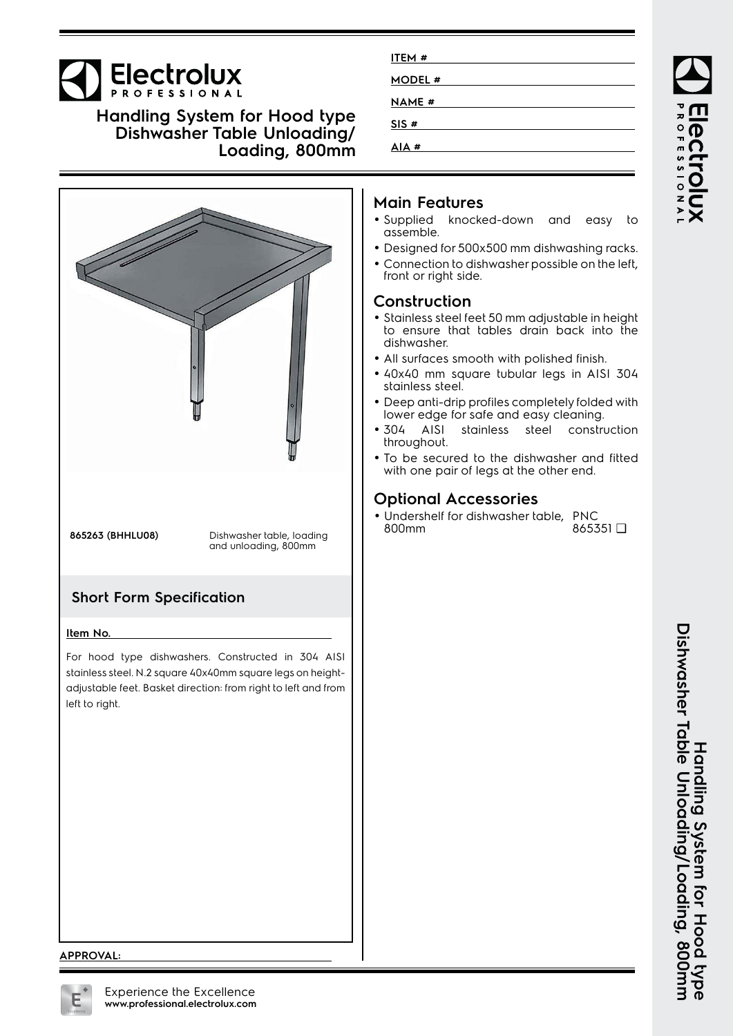

**Handling System for Hood type Dishwasher Table Unloading/ Loading, 800mm**



**865263 (BHHLU08)** Dishwasher table, loading and unloading, 800mm

## **Short Form Specification**

#### **Item No.**

For hood type dishwashers. Constructed in 304 AISI stainless steel. N.2 square 40x40mm square legs on heightadjustable feet. Basket direction: from right to left and from left to right.

| ITEM #        |  |
|---------------|--|
| MODEL #       |  |
| <b>NAME</b> # |  |
| SIS#          |  |
| AIA #         |  |
|               |  |

## **Main Features**

- Supplied knocked-down and easy to assemble.
- Designed for 500x500 mm dishwashing racks.
- Connection to dishwasher possible on the left, front or right side.

#### **Construction**

- Stainless steel feet 50 mm adjustable in height to ensure that tables drain back into the dishwasher.
- All surfaces smooth with polished finish.
- 40x40 mm square tubular legs in AISI 304 stainless steel.
- Deep anti-drip profiles completely folded with lower edge for safe and easy cleaning.
- 304 AISI stainless steel construction throughout.
- To be secured to the dishwasher and fitted with one pair of legs at the other end.

#### **Optional Accessories**

• Undershelf for dishwasher table, PNC 800mm 865351 ❑ PROFESSIONA FIect

#### **APPROVAL:**